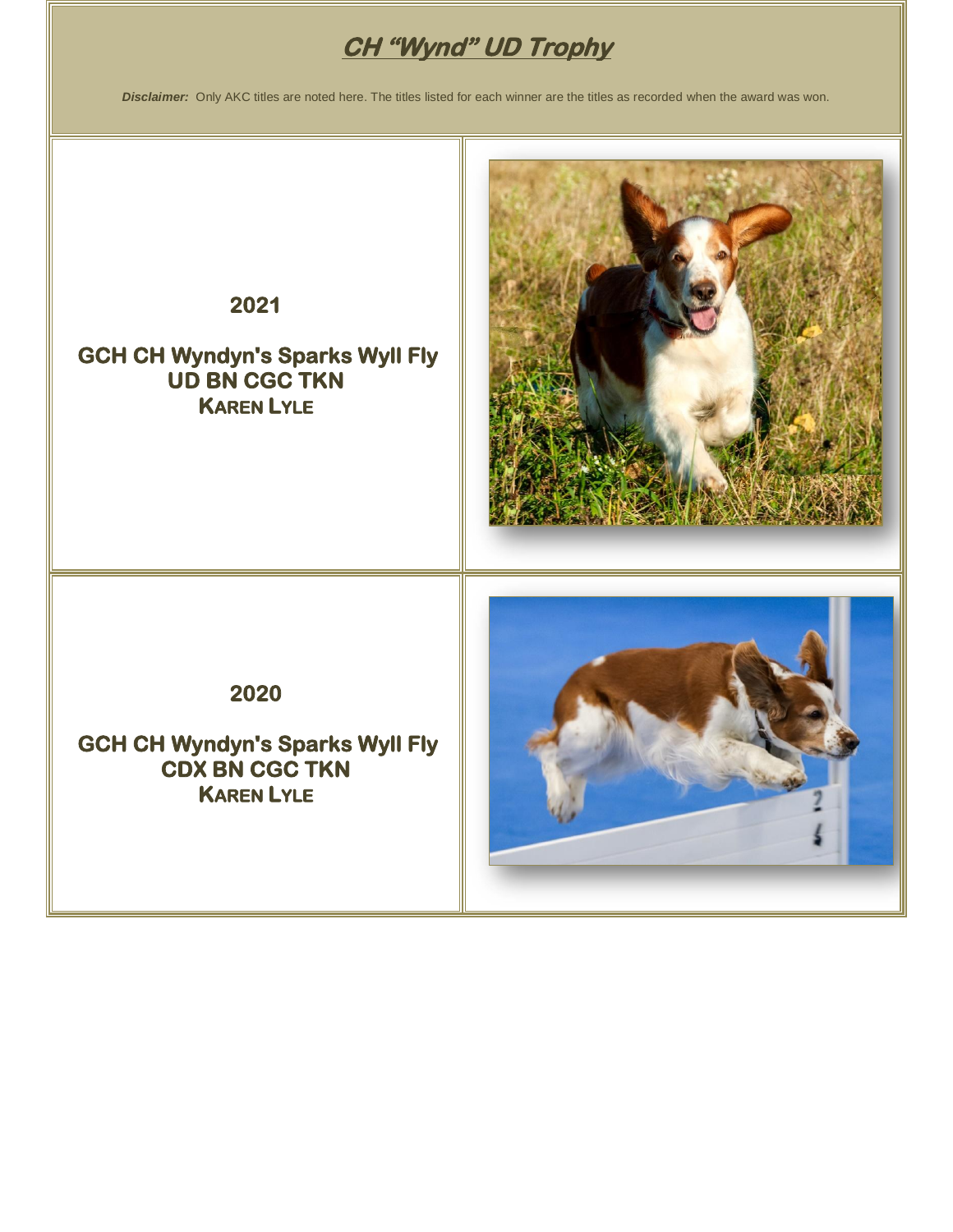# **CH "Wynd" UD Trophy**

*Disclaimer:* Only AKC titles are noted here. The titles listed for each winner are the titles as recorded when the award was won.

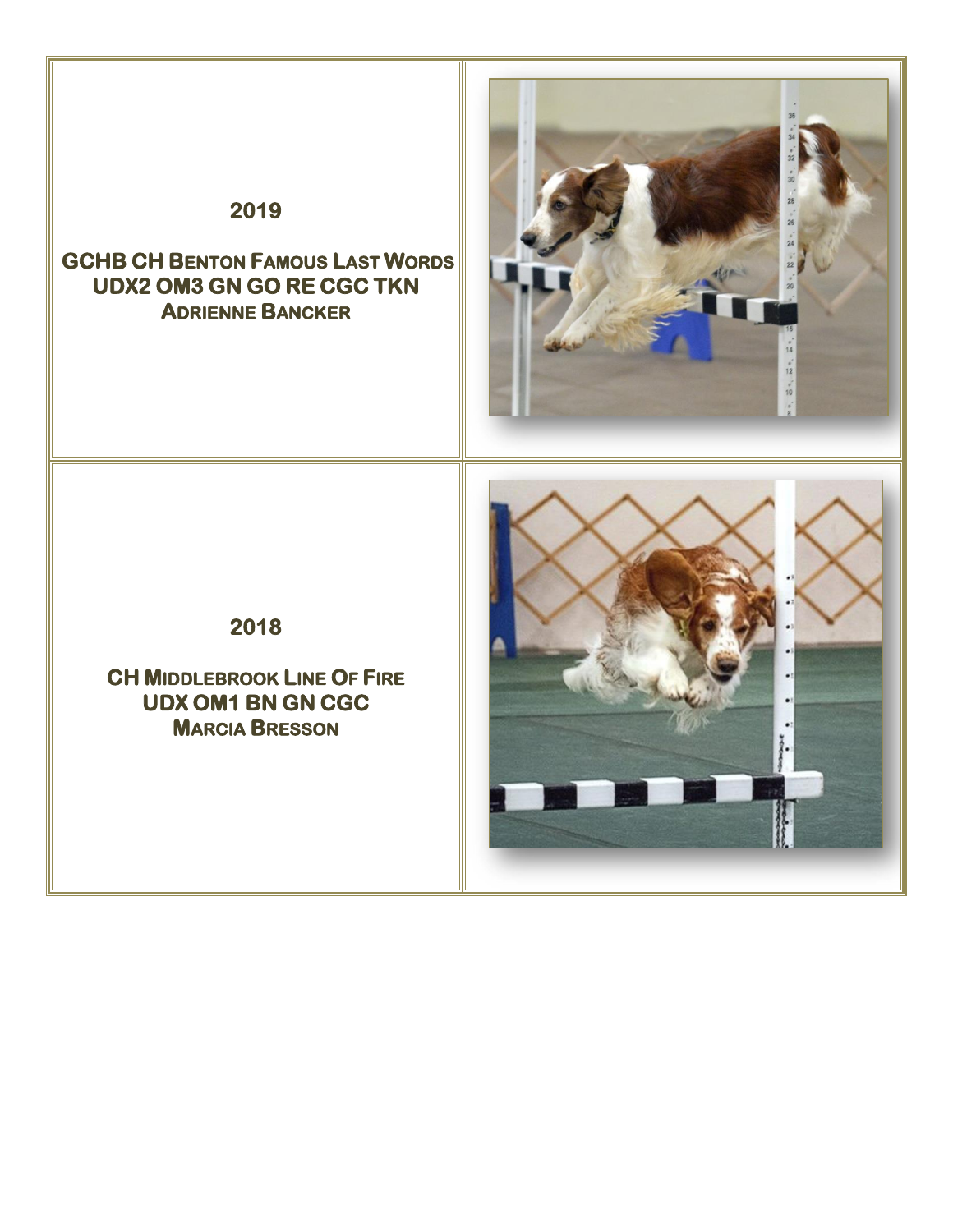## **2019**

### **GCHB CH BENTON FAMOUS LAST WORDS UDX2 OM3 GN GO RE CGC TKN ADRIENNE BANCKER**



**2018** 

**CH MIDDLEBROOK LINE OF FIRE UDX OM1 BN GN CGC MARCIA BRESSON** 

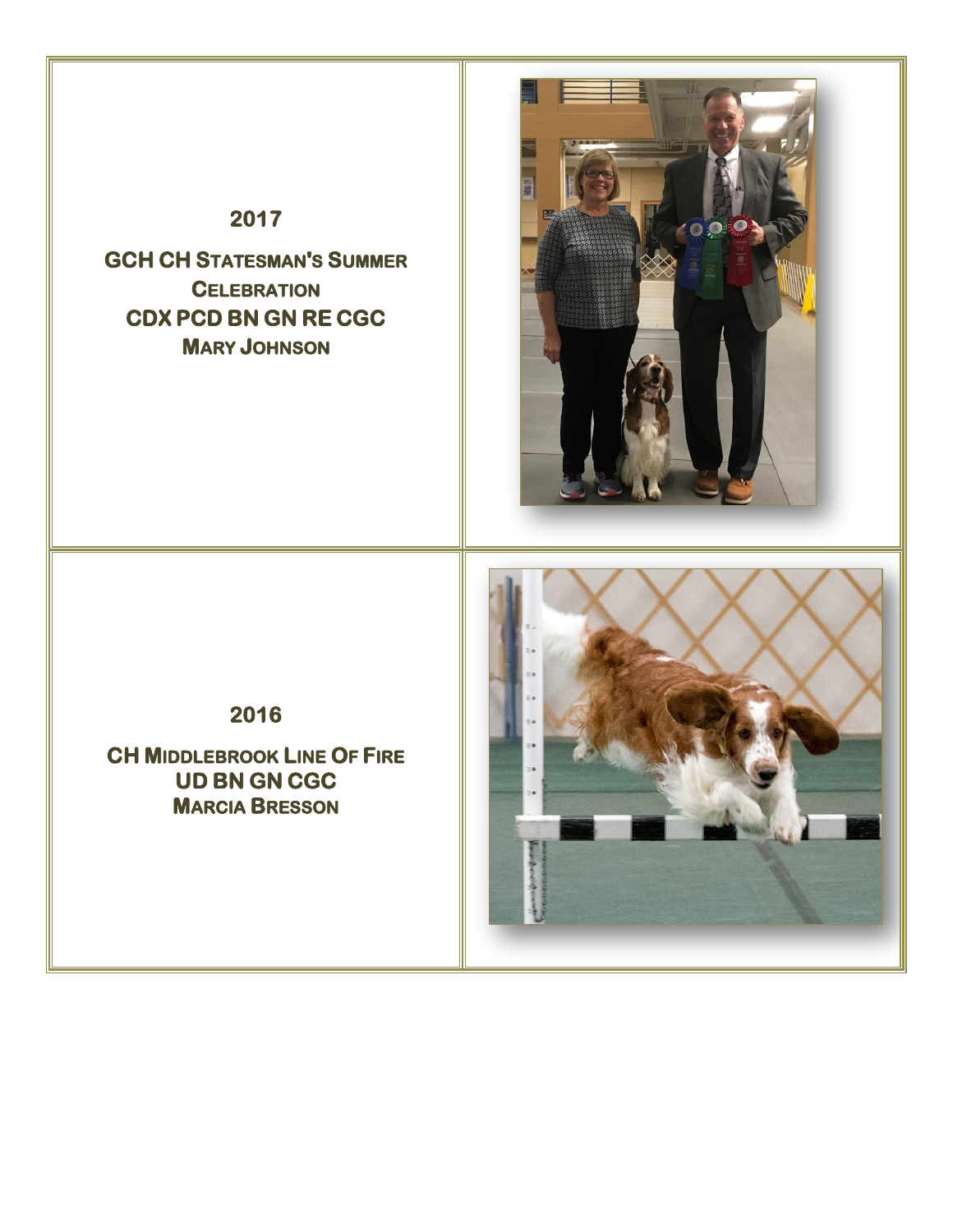## **2017**

**GCH CH STATESMAN'S SUMMER CELEBRATION CDX PCD BN GN RE CGC MARY JOHNSON** 



**2016** 

**CH MIDDLEBROOK LINE OF FIRE UD BN GN CGC MARCIA BRESSON** 

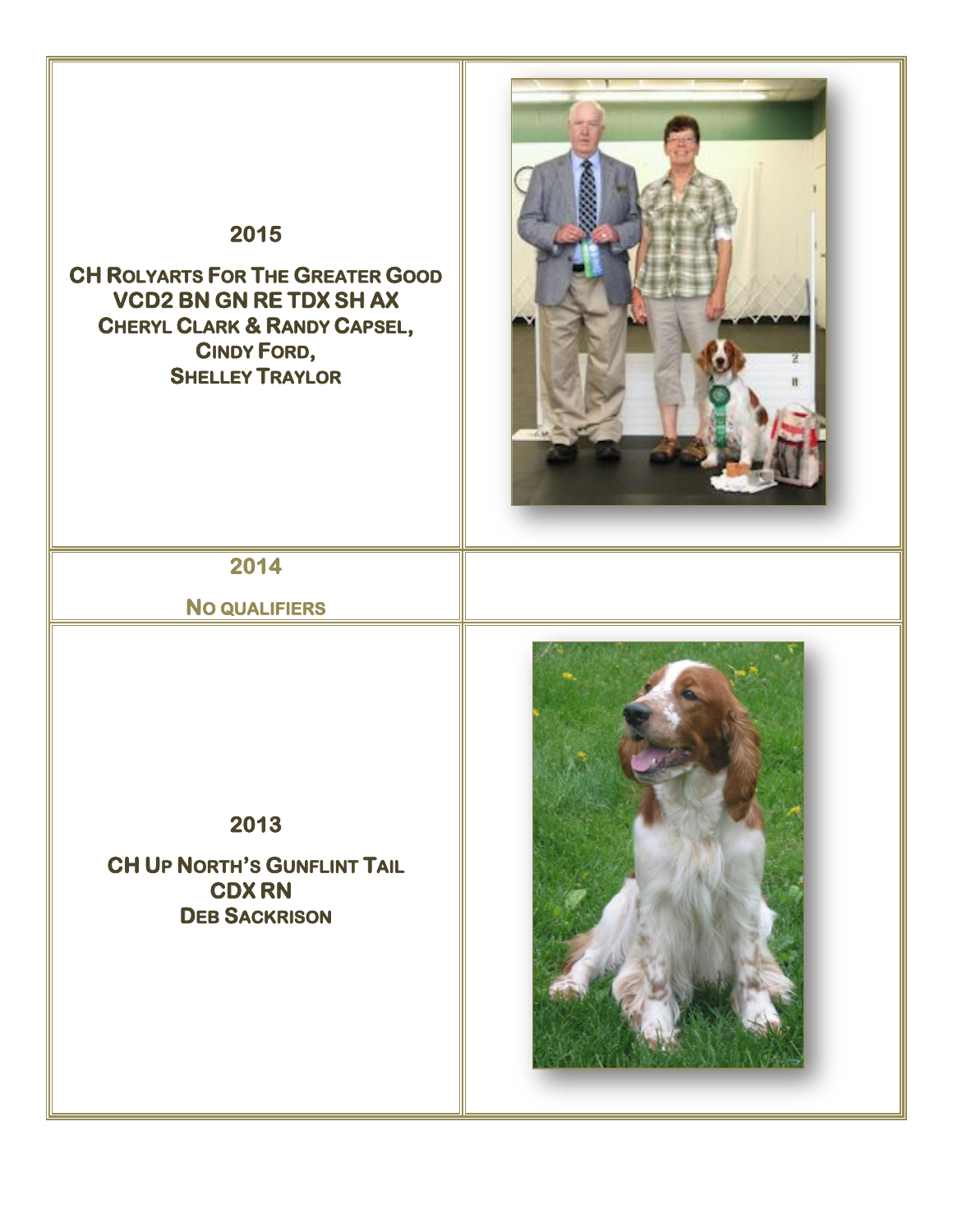